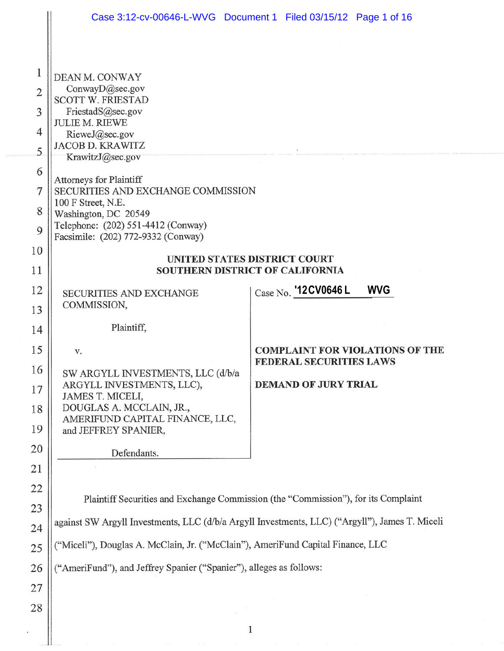|                |                                                                                                | Case 3:12-cv-00646-L-WVG Document 1 Filed 03/15/12 Page 1 of 16          |  |  |
|----------------|------------------------------------------------------------------------------------------------|--------------------------------------------------------------------------|--|--|
|                |                                                                                                |                                                                          |  |  |
| 1              | DEAN M. CONWAY                                                                                 |                                                                          |  |  |
| $\overline{2}$ | Conway $D@sec.gov$<br><b>SCOTT W. FRIESTAD</b>                                                 |                                                                          |  |  |
| 3              | FriestadS@sec.gov                                                                              |                                                                          |  |  |
| 4              | <b>JULIE M. RIEWE</b><br>RieweJ@sec.gov                                                        |                                                                          |  |  |
| 5              | <b>JACOB D. KRAWITZ</b><br>KrawitzJ@sec.gov                                                    |                                                                          |  |  |
| 6              | <b>Attorneys for Plaintiff</b>                                                                 |                                                                          |  |  |
| 7              | SECURITIES AND EXCHANGE COMMISSION<br>100 F Street, N.E.                                       |                                                                          |  |  |
| 8              | Washington, DC 20549                                                                           |                                                                          |  |  |
| 9              | Telephone: (202) 551-4412 (Conway)<br>Facsimile: (202) 772-9332 (Conway)                       |                                                                          |  |  |
| 10             | UNITED STATES DISTRICT COURT<br>SOUTHERN DISTRICT OF CALIFORNIA                                |                                                                          |  |  |
| 11             |                                                                                                |                                                                          |  |  |
| 12             | <b>SECURITIES AND EXCHANGE</b><br>COMMISSION,                                                  | Case No. '12CV0646 L<br><b>WVG</b>                                       |  |  |
| 13             |                                                                                                |                                                                          |  |  |
| 14             | Plaintiff,                                                                                     |                                                                          |  |  |
| 15             | v.                                                                                             | <b>COMPLAINT FOR VIOLATIONS OF THE</b><br><b>FEDERAL SECURITIES LAWS</b> |  |  |
| 16             | SW ARGYLL INVESTMENTS, LLC (d/b/a<br>ARGYLL INVESTMENTS, LLC),                                 | <b>DEMAND OF JURY TRIAL</b>                                              |  |  |
| 17             | JAMES T. MICELI,<br>DOUGLAS A. MCCLAIN, JR.,                                                   |                                                                          |  |  |
| 18             | AMERIFUND CAPITAL FINANCE, LLC,                                                                |                                                                          |  |  |
| 19             | and JEFFREY SPANIER,                                                                           |                                                                          |  |  |
| 20<br>21       | Defendants.                                                                                    |                                                                          |  |  |
| 22             |                                                                                                |                                                                          |  |  |
| 23             | Plaintiff Securities and Exchange Commission (the "Commission"), for its Complaint             |                                                                          |  |  |
| 24             | against SW Argyll Investments, LLC (d/b/a Argyll Investments, LLC) ("Argyll"), James T. Miceli |                                                                          |  |  |
| 25             | "Miceli"), Douglas A. McClain, Jr. ("McClain"), AmeriFund Capital Finance, LLC                 |                                                                          |  |  |
| 26             | ("AmeriFund"), and Jeffrey Spanier ("Spanier"), alleges as follows:                            |                                                                          |  |  |
| 27             |                                                                                                |                                                                          |  |  |
| 28             |                                                                                                |                                                                          |  |  |
|                |                                                                                                | 1                                                                        |  |  |
|                |                                                                                                |                                                                          |  |  |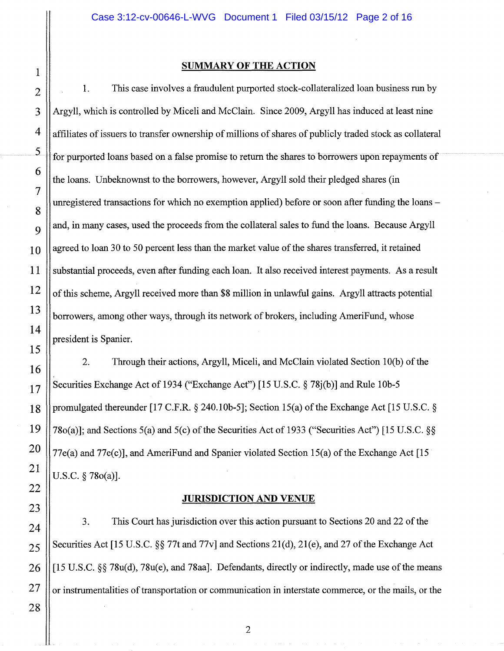1. This case involves a fraudulent purported stock-collateralized loan business run by Argyll, which is controlled by Miceli and McClain. Since 2009, Argyll has induced at least nine affiliates of issuers to transfer ownership of millions of shares of publicly traded stock as collateral for purported loans based on a false promise to return the shares to borrowers upon repayments of the loans. Unbeknownst to the borrowers, however, Argyll sold their pledged shares (in unregistered transactions for which no exemption applied) before or soon after funding the loans and, in many cases, used the proceeds from the collateral sales to fund the loans. Because Argyll agreed to loan 30 to 50 percent less than the market value of the shares transferred, it retained substantial proceeds, even after funding each loan. It also received interest payments. As a result of this scheme, Argyll received more than \$8 million in unlawful gains. Argyll attracts potential borrowers, among other ways, through its network of brokers, including AmeriFund, whose president is Spanier.

2. Through their actions, Argyll, Miceli, and McClain violated Section 10(b) of the Securities Exchange Act of 1934 ("Exchange Act") [15 U.S.C. § 78j(b)] and Rule 10b-5 promulgated thereunder [17 C.F.R. § 240.lOb-5]; Section 15(a) of the Exchange Act [15 U.S.C. § 780(a)]; and Sections 5(a) and 5(c) of the Securities Act of 1933 ("Securities Act") [15 U.S.C. §§ 77e(a) and 77e(c)], and AmeriFund and Spanier violated Section 15(a) of the Exchange Act  $[15]$ U.S.C. § 780(a)].

### JURISDICTION AND VENUE

3. This Court has jurisdiction over this action pursuant to Sections 20 and 22 of the  $25$  Securities Act [15 U.S.C. §§ 77t and 77v] and Sections 21(d), 21(e), and 27 of the Exchange Act 26 [15 U.S.C. §§ 78u(d), 78u(e), and 78aa]. Defendants, directly or indirectly, made use of the means  $27$  || or instrumentalities of transportation or communication in interstate commerce, or the mails, or the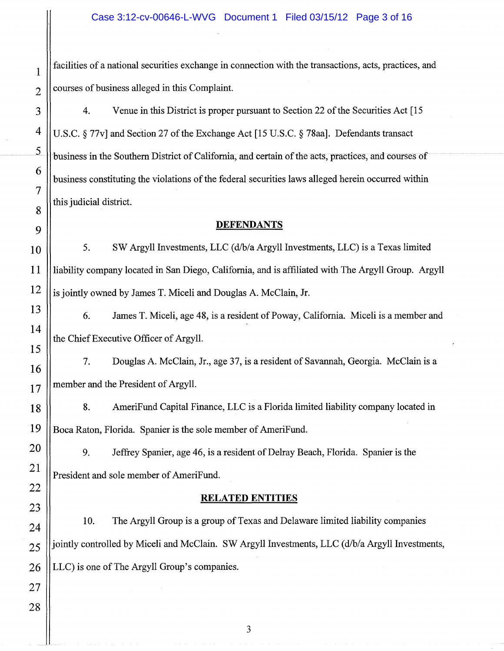facilities of a national securities exchange in connection with the transactions, acts, practices, and courses of business alleged in this Complaint.

4. Venue in this District is proper pursuant to Section 22 of the Securities Act [15 U.S.C. § 77v] and Section 27 of the Exchange Act [15 U.S.C. § 78aa]. Defendants transact business in the Southern District of California, and certain of the acts, practices, and courses of business constituting the violations of the federal securities laws alleged herein occurred within this judicial district.

#### **DEFENDANTS**

5. SW Argyll Investments, LLC (d/b/a Argyll Investments, LLC) is a Texas limited liability company located in San Diego, California, and is affiliated with The Argyll Group. Argyll is jointly owned by James T. Miceli and Douglas A. McClain, Jr.

6. James T. Miceli, age 48, is a resident of Poway, California. Miceli is a member and the Chief Executive Officer of Argyll.

7. Douglas A. McClain, Jr., age 37, is a resident of Savannah, Georgia. McClain is a member and the President of Argyll.

8. AmeriFund Capital Finance, LLC is a Florida limited liability company located in Boca Raton, Florida. Spanier is the sole member of AmeriFund.

9. Jeffrey Spanier, age 46, is a resident of Delray Beach, Florida. Spanier is the President and sole member of AmeriFund.

### RELATED ENTITIES

10. The Argyll Group is a group of Texas and Delaware limited liability companies jointly controlled by Miceli and McClain. SW Argyll Investments, LLC (d/b/a Argyll Investments, LLC) is one of The Argyll Group's companies.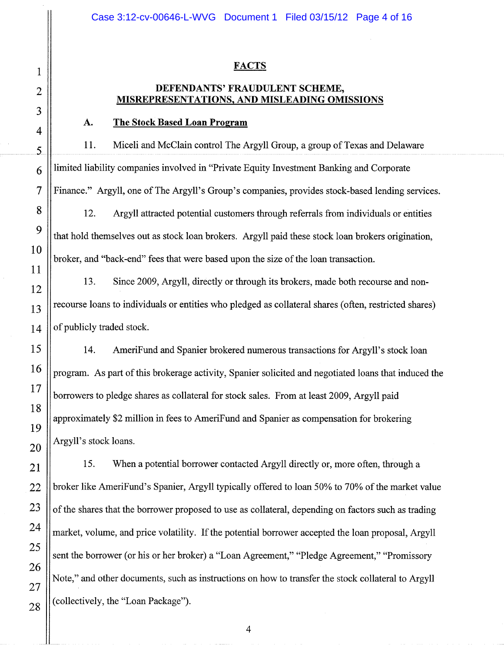# **FACTS**

# DEFENDANTS' FRAUDULENT SCHEME, MISREPRESENTATIONS, AND MISLEADING OMISSIONS

#### A. The Stock Based Loan Program

11. Miceli and McClain control The Argyll Group, a group of Texas and Delaware  $6$  || limited liability companies involved in "Private Equity Investment Banking and Corporate 7 Finance." Argyll, one of The Argyll's Group's companies, provides stock-based lending services.

12. Argyll attracted potential customers through referrals from individuals or entities that hold themselves out as stock loan brokers. Argyll paid these stock loan brokers origination, broker, and "back-end" fees that were based upon the size of the loan transaction.

13. Since 2009, Argyll, directly or through its brokers, made both recourse and nonrecourse loans to individuals or entities who pledged as collateral shares (often, restricted shares) of publicly traded stock.

14. AmeriFund and Spanier brokered numerous transactions for Argyll's stock loan program. As part of this brokerage activity, Spanier solicited and negotiated loans that induced the borrowers to pledge shares as collateral for stock sales. From at least 2009, Argyll paid approximately \$2 million in fees to AmeriFund and Spanier as compensation for brokering Argyll's stock loans.

15. When a potential borrower contacted Argyll directly or, more often, through a broker like AmeriFund's Spanier, Argyll typically offered to loan 50% to 70% of the market value of the shares that the borrower proposed to use as collateral, depending on factors such as trading market, volume, and price volatility. If the potential borrower accepted the loan proposal, Argyll sent the borrower (or his or her broker) a "Loan Agreement," "Pledge Agreement," "Promissory Note," and other documents, such as instructions on how to transfer the stock collateral to Argyll (collectively, the "Loan Package").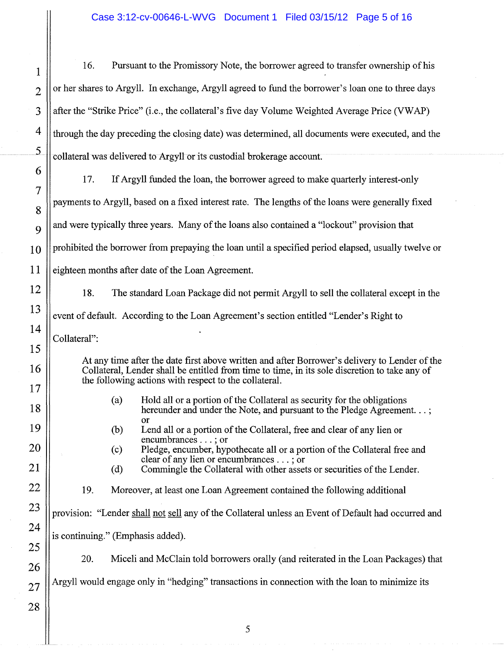16. Pursuant to the Promissory Note, the borrower agreed to transfer ownership of his or her shares to Argyll. In exchange, Argyll agreed to fund the borrower's loan one to three days after the "Strike Price" (i.e., the collateral's five day Volume Weighted Average Price (VWAP) through the day preceding the closing date) was determined, all documents were executed, and the collateral was delivered to Argyll or its custodial brokerage account.

17. If Argyll funded the loan, the borrower agreed to make quarterly interest-only payments to Argyll, based on a fixed interest rate. The lengths of the loans were generally fixed and were typically three years. Many of the loans also contained a "lockout" provision that prohibited the borrower from prepaying the loan until a specified period elapsed, usually twelve or eighteen months after date of the Loan Agreement.

18. The standard Loan Package did not permit Argyll to sell the collateral except in the event of default. According to the Loan Agreement's section entitled "Lender's Right to Collateral":

At any time after the date first above written and after Borrower's delivery to Lender of the Collateral, Lender shall be entitled from time to time, in its sole discretion to take any of the following actions with respect to the collateral.

- (a) Hold all or a portion of the Collateral as security for the obligations hereunder and under the Note, and pursuant to the Pledge Agreement. . . ; or
- (b) Lend all or a portion of the Collateral, free and clear of any lien or encumbrances ... ; or
- (c) Pledge, encumber, hypothecate all or a portion of the Collateral free and clear of any lien or encumbrances ... ; or
- (d) Commingle the Collateral with other assets or securities of the Lender.
- 19. Moreover, at least one Loan Agreement contained the following additional

provision: "Lender shall not sell any of the Collateral unless an Event of Default had occurred and is continuing." (Emphasis added).

20. Miceli and McClain told borrowers orally (and reiterated in the Loan Packages) that

Argyll would engage only in "hedging" transactions in connection with the loan to minimize its

1

2

3

4

5

6

7

8

9

10

11

12

13

14

15

16

17

18

19

20

21

22

23

24

25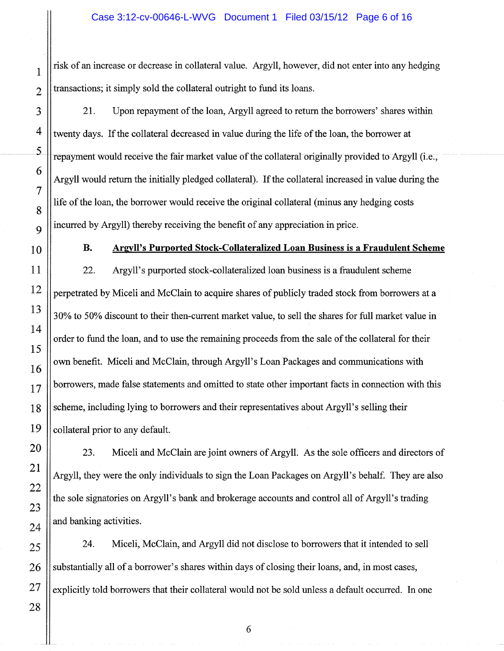risk of an increase or decrease in collateral value. Argyll, however, did not enter into any hedging transactions; it simply sold the collateral outright to fund its loans.

21. Upon repayment of the loan, Argyll agreed to return the borrowers' shares within twenty days. If the collateral decreased in value during the life of the loan, the borrower at repayment would receive the fair market value of the collateral originally provided to Argyll (i.e., Argyll would return the initially pledged collateral). If the collateral increased in value during the life of the loan, the borrower would receive the original collateral (minus any hedging costs incurred by Argyll) thereby receiving the benefit of any appreciation in price.

Argyll's Purported Stock-Collateralized Loan Business is a Fraudulent Scheme

22. Argyll's purported stock-collateralized loan business is a fraudulent scheme perpetrated by Miceli and McClain to acquire shares of publicly traded stock from borrowers at a 30% to 50% discount to their then-current market value, to sell the shares for full market value in order to fund the loan, and to use the remaining proceeds from the sale of the collateral for their own benefit. Miceli and McClain, through Argyll's Loan Packages and communications with borrowers, made false statements and omitted to state other important facts in connection with this scheme, including lying to borrowers and their representatives about Argyll's selling their collateral prior to any default.

23. Miceli and McClain are joint owners of Argyll. As the sole officers and directors of Argyll, they were the only individuals to sign the Loan Packages on Argyll's behalf. They are also the sole signatories on Argyll's bank and brokerage accounts and control all of Argyll's trading and banking activities.

24. Miceli, McClain, and Argyll did not disclose to borrowers that it intended to sell  $26$  || substantially all of a borrower's shares within days of closing their loans, and, in most cases,  $27$   $\parallel$  explicitly told borrowers that their collateral would not be sold unless a default occurred. In one

28

B.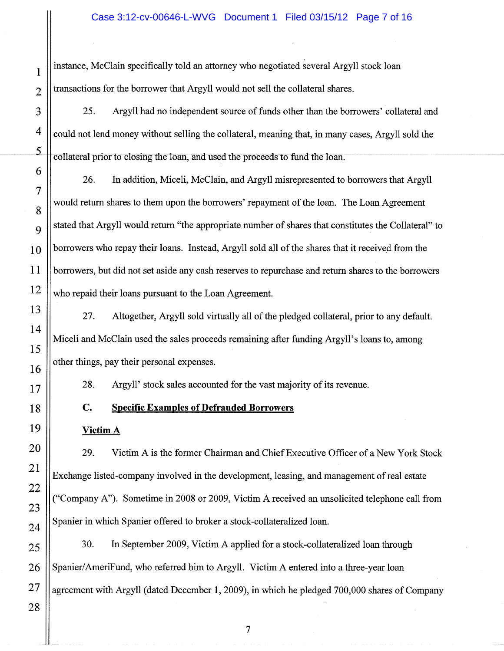instance, McClain specifically told an attorney who negotiated several Argyll stock loan transactions for the borrower that Argyll would not sell the collateral shares.

25. Argyll had no independent source of funds other than the borrowers' collateral and could not lend money without selling the collateral, meaning that, in many cases, Argyll sold the collateral prior to closing the loan, and used the proceeds to fund the loan.

26. In addition, Miceli, McClain, and Argyll misrepresented to borrowers that Argyll would return shares to them upon the borrowers' repayment of the loan. The Loan Agreement stated that Argyll would return "the appropriate number of shares that constitutes the Collateral" to borrowers who repay their loans. Instead, Argyll sold all of the shares that it received from the borrowers, but did not set aside any cash reserves to repurchase and return shares to the borrowers who repaid their loans pursuant to the Loan Agreement.

27. Altogether, Argyll sold virtually all of the pledged collateral, prior to any default. Miceli and McClain used the sales proceeds remaining after funding Argyll's loans to, among other things, pay their personal expenses.

28. Argyll' stock sales accounted for the vast majority of its revenue.

#### C. Specific Examples of Defrauded Borrowers

# $19 \parallel$  Victim A

29. Victim A is the former Chairman and Chief Executive Officer of a New York Stock Exchange listed-company involved in the development, leasing, and management of real estate ("Company A"). Sometime in 2008 or 2009, Victim A received an unsolicited telephone call from Spanier in which Spanier offered to broker a stock-collateralized loan.

30. In September 2009, Victim A applied for a stock-collateralized loan through Spanier/AmeriFund, who referred him to Argyll. Victim A entered into a three-year loan agreement with Argyll (dated December 1,2009), in which he pledged 700,000 shares of Company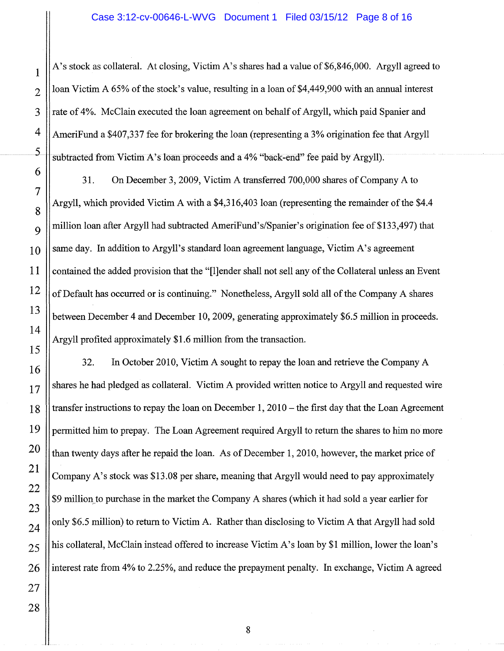#### Case 3:12-cv-00646-L-WVG Document 1 Filed 03/15/12 Page 8 of 16

A's stock as collateral. At closing, Victim A's shares had a value of \$6,846,000. Argyll agreed to loan Victim A 65% of the stock's value, resulting in a loan of \$4,449,900 with an annual interest rate of 4%. McClain executed the loan agreement on behalf of Argyll, which paid Spanier and AmeriFund a \$407,337 fee for brokering the loan (representing a 3% origination fee that Argyll subtracted from Victim A's loan proceeds and a 4% "back-end" fee paid by Argyll).

31. On December 3, 2009, Victim A transferred 700,000 shares of Company A to Argyll, which provided Victim A with a \$4,316,403 loan (representing the remainder of the \$4.4 million loan after Argyll had subtracted AmeriFund's/Spanier's origination fee of \$133,497) that same day. In addition to Argyll's standard loan agreement language, Victim A's agreement contained the added provision that the "[l]ender shall not sell any of the Collateral unless an Event of Default has occurred or is continuing." Nonetheless, Argyll sold all of the Company A shares between December 4 and December 10, 2009, generating approximately \$6.5 million in proceeds. Argyll profited approximately \$1.6 million from the transaction.

32. In October 2010, Victim A sought to repay the loan and retrieve the Company A shares he had pledged as collateral. Victim A provided written notice to Argyll and requested wire transfer instructions to repay the loan on December 1, 2010 - the first day that the Loan Agreement permitted him to prepay. The Loan Agreement required Argyll to return the shares to him no more than twenty days after he repaid the loan. As of December 1,2010, however, the market price of Company A's stock was \$13.08 per share, meaning that Argyll would need to pay approximately \$9 million to purchase in the market the Company A shares (which it had sold a year earlier for only \$6.5 million) to return to Victim A. Rather than disclosing to Victim A that Argyll had sold his collateral, McClain instead offered to increase Victim A's loan by \$1 million, lower the loan's interest rate from 4% to 2.25%, and reduce the prepayment penalty. In exchange, Victim A agreed

1

2

3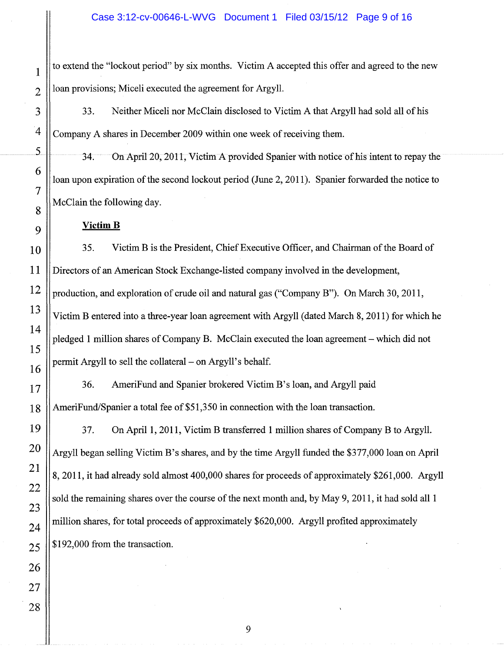to extend the "lockout period" by six months. Victim A accepted this offer and agreed to the new loan provisions; Miceli executed the agreement for Argyll.

33. Neither Miceli nor McClain disclosed to Victim A that Argyll had sold all of his Company A shares in December 2009 within one week of receiving them.

34. On April 20, 2011, Victim A provided Spanier with notice of his intent to repay the loan upon expiration of the second lockout period (June 2, 2011). Spanier forwarded the notice to McClain the following day.

#### **Victim B**

35. Victim B is the President, Chief Executive Officer, and Chairman of the Board of Directors of an American Stock Exchange-listed company involved in the development, production, and exploration of crude oil and natural gas ("Company B"). On March 30,2011, Victim B entered into a three-year loan agreement with Argyll (dated March 8, 2011) for which he pledged 1 million shares of Company B. McClain executed the loan agreement – which did not permit Argyll to sell the collateral – on Argyll's behalf.

36. AmeriFund and Spanier brokered Victim B's loan, and Argyll paid AmeriFund/Spanier a total fee of \$51,350 in connection with the loan transaction.

37. On April 1, 2011, Victim B transferred 1 million shares of Company B to Argyll. Argyll began selling Victim B's shares, and by the time Argyll funded the \$377,000 loan on April 8,2011, it had already sold almost 400,000 shares for proceeds of approximately \$261,000. Argyll sold the remaining shares over the course of the next month and, by May 9, 2011, it had sold all 1 million shares, for total proceeds of approximately \$620,000. Argyll profited approximately \$192,000 from the transaction.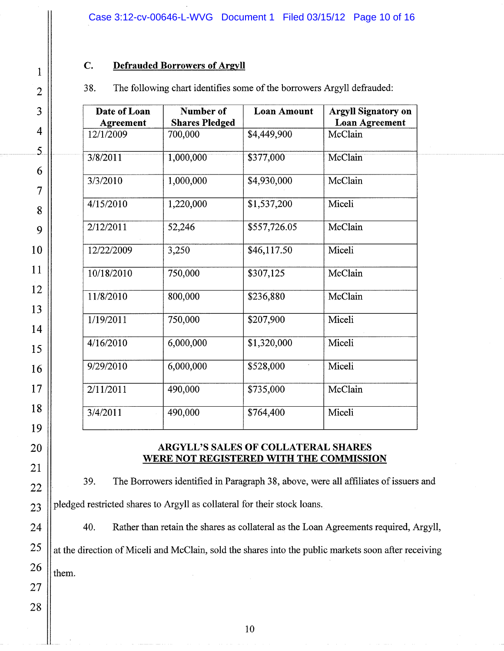Case 3:12-cv-00646-L-WVG Document 1 Filed 03/15/12 Page 10 of 16

# C. Defrauded Borrowers of Argyll

1

2

3

4

5

6

7

8

9

10

11

12

13

14

15

16

17

18

19

20

21

22

27

28

| Date of Loan<br>Agreement | Number of<br><b>Shares Pledged</b> | <b>Loan Amount</b> | <b>Argyll Signatory on</b><br><b>Loan Agreement</b> |
|---------------------------|------------------------------------|--------------------|-----------------------------------------------------|
| 12/1/2009                 | 700,000                            | \$4,449,900        | McClain                                             |
| 3/8/2011                  | 1,000,000                          | \$377,000          | McClain                                             |
| 3/3/2010                  | 1,000,000                          | \$4,930,000        | McClain                                             |
| 4/15/2010                 | 1,220,000                          | \$1,537,200        | Miceli                                              |
| 2/12/2011                 | 52,246                             | \$557,726.05       | McClain                                             |
| 12/22/2009                | 3,250                              | \$46,117.50        | Miceli                                              |
| 10/18/2010                | 750,000                            | \$307,125          | McClain                                             |
| 11/8/2010                 | 800,000                            | \$236,880          | McClain                                             |
| 1/19/2011                 | 750,000                            | \$207,900          | Miceli                                              |
| 4/16/2010                 | 6,000,000                          | \$1,320,000        | Miceli                                              |
| 9/29/2010                 | 6,000,000                          | \$528,000          | Miceli                                              |
| 2/11/2011                 | 490,000                            | \$735,000          | McClain                                             |
| 3/4/2011                  | 490,000                            | \$764,400          | Miceli                                              |

38. The following chart identifies some of the borrowers Argyll defrauded:

# ARGYLL'S SALES OF COLLATERAL SHARES WERE NOT REGISTERED WITH THE COMMISSION

39. The Borrowers identified in Paragraph 38, above, were all affiliates of issuers and  $23$  || pledged restricted shares to Argyll as collateral for their stock loans.

24 | 40. Rather than retain the shares as collateral as the Loan Agreements required, Argyll,  $25$   $\parallel$  at the direction of Miceli and McClain, sold the shares into the public markets soon after receiving  $26$  them.

lO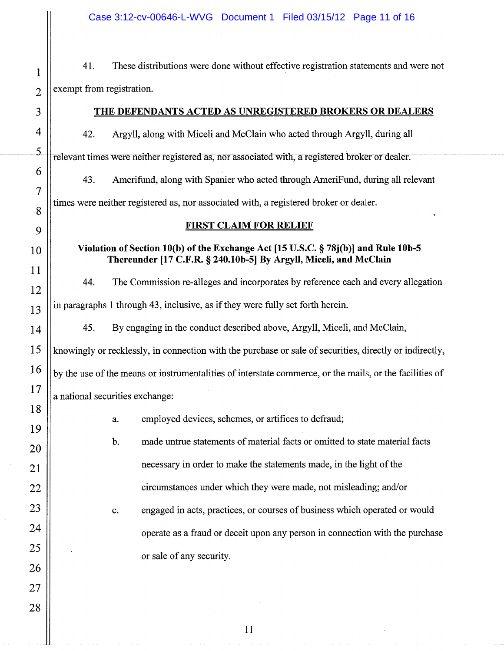$\parallel$  41. These distributions were done without effective registration statements and were not  $2 \parallel$  exempt from registration.

## 3 THE DEFENDANTS ACTED AS UNREGISTERED BROKERS OR DEALERS

42. Argyll, along with Miceli and McClain who acted through Argyll, during all relevant times were neither registered as, nor associated with, a registered broker or dealer.

4

5

6

7

8

9

10

11

12

13

14

15

16

17

18

19

20

21

22

23

24

25

26

27

28

43. Amerifund, along with Spanier who acted through AmeriFund, during all relevant times were neither registered as, nor associated with, a registered broker or dealer.

#### FIRST CLAIM FOR RELIEF

## Violation of Section 10(b) of the Exchange Act [15 U.S.c. § 78j(b)] and Rule 10b-5 Thereunder [17 C.F.R. § 240.10b-5] By Argyll, Miceli, and McClain

44. The Commission re-alleges and incorporates by reference each and every allegation in paragraphs 1 through 43, inclusive, as if they were fully set forth herein.

45. By engaging in the conduct described above, Argyll, Miceli, and McClain,

knowingly or recklessly, in connection with the purchase or sale of securities, directly or indirectly, by the use of the means or instrumentalities of interstate commerce, or the mails, or the facilities of a national securities exchange:

- a. employed devices, schemes, or artifices to defraud;
- b. made untrue statements of material facts or omitted to state material facts necessary in order to make the statements made, in the light of the circumstances under which they were made, not misleading; and/or
- c. engaged in acts, practices, or courses of business which operated or would operate as a fraud or deceit upon any person in connection with the purchase or sale of any security.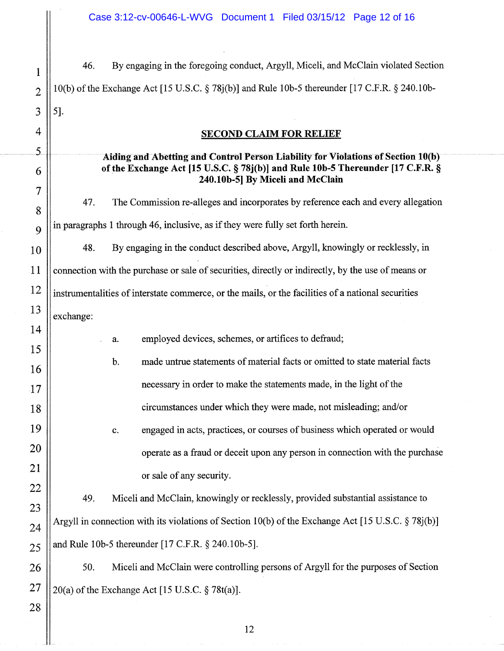1 2 3 4 5 6 7 8 9 10 11 12 13 14 15 16 17 18 19 20 21 22 23 24 25 26 46. By engaging in the foregoing conduct, Argyll, Miceli, and McClain violated Section 10(b) of the Exchange Act [15 U.S.C.  $\S$  78 $j(b)$ ] and Rule 10b-5 thereunder [17 C.F.R.  $\S$  240.10b-5]. 47. SECOND CLAIM FOR RELIEF Aiding and Abetting and Control Person Liability for Violations of Section 10(b) of the Exchange Act [15 U.S.C. § 78j(b)] and Rule 10b-5 Thereunder [17 C.F.R. § 240.10b-5) By Miceli and McClain The Commission re-alleges and incorporates by reference each and every allegation in paragraphs 1 through 46, inclusive, as if they were fully set forth herein. 48. By engaging in the conduct described above, Argyll, knowingly or recklessly, in connection with the purchase or sale of securities, directly or indirectly, by the use of means or instrumentalities of interstate commerce, or the mails, or the facilities of a national securities exchange: a. employed devices, schemes, or artifices to defraud; b. made untrue statements of material facts or omitted to state material facts necessary in order to make the statements made, in the light of the circumstances under which they were made, not misleading; and/or c. engaged in acts, practices, or courses of business which operated or would operate as a fraud or deceit upon any person in connection with the purchase or sale of any security. 49. Miceli and McClain, knowingly or recklessly, provided substantial assistance to Argyll in connection with its violations of Section 10(b) of the Exchange Act [15 U.S.C.  $\S 78j(b)$ ] and Rule lOb-5 thereunder [17 C.F.R. § 240.l0b-5]. 50. Miceli and McClain were controlling persons of Argyll for the purposes of Section  $27 \parallel 20(a)$  of the Exchange Act [15 U.S.C. § 78t(a)]. 28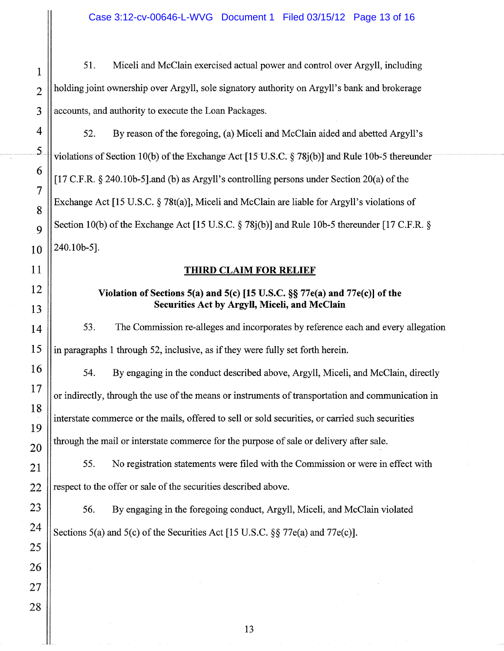$\parallel$  51. Miceli and McClain exercised actual power and control over Argyll, including  $2$  || holding joint ownership over Argyll, sole signatory authority on Argyll's bank and brokerage 3 || accounts, and authority to execute the Loan Packages.

52. By reason of the foregoing, (a) Miceli and McClain aided and abetted Argyll's violations of Section 10(b) of the Exchange Act [15 U.S.C.  $\S$  78 $i$ (b)] and Rule 10b-5 thereunder [17 C.F.R. § 240.l0b-5].and (b) as Argyll's controlling persons under Section 20(a) of the Exchange Act [15 U.S.C. § 78t(a)], Miceli and McClain are liable for Argyll's violations of Section 10(b) of the Exchange Act [15 U.S.C.  $\S$  78j(b)] and Rule 10b-5 thereunder [17 C.F.R.  $\S$ 240.10b-5].

## THIRD CLAIM FOR RELIEF

# Violation of Sections 5(a) and 5(c) [15 U.S.C.  $\S$  $\overline{\S}$  77e(a) and 77e(c)] of the Securities Act by Argyll, Miceli, and McClain

53. The Commission re-alleges and incorporates by reference each and every allegation  $15$  || in paragraphs 1 through 52, inclusive, as if they were fully set forth herein.

54. By engaging in the conduct described above, Argyll, Miceli, and McClain, directly or indirectly, through the use of the means or instruments of transportation and communication in interstate commerce or the mails, offered to sell or sold securities, or carried such securities through the mail or interstate commerce for the purpose of sale or delivery after sale.

55. No registration statements were filed with the Commission or were in effect with  $22$  || respect to the offer or sale of the securities described above.

56. By engaging in the foregoing conduct, Argyll, Miceli, and McClain violated Sections 5(a) and 5(c) of the Securities Act [15 U.S.C. §§ 77e(a) and 77e(c)].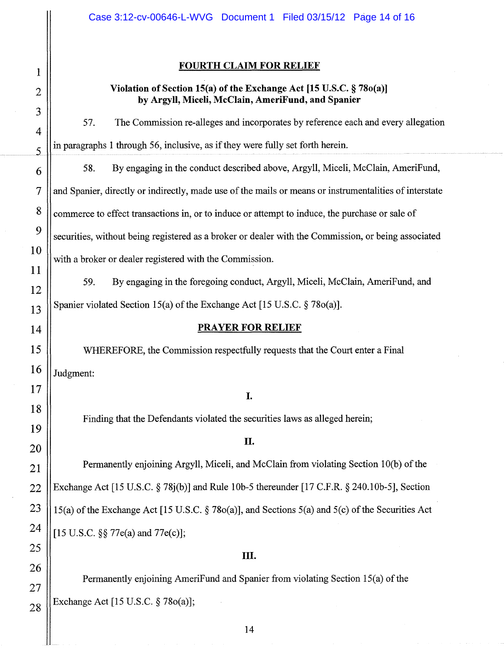#### FOURTH CLAIM FOR RELIEF

### Violation of Section 15(a) of the Exchange Act  $[15 \text{ U.S.C.} \S 780(a)]$ by Argyll, Miceli, McClain, AmeriFund, and Spanier

57. The Commission re-alleges and incorporates by reference each and every allegation in paragraphs 1 through 56, inclusive, as if they were fully set forth herein.

58. By engaging in the conduct described above, Argyll, Miceli, McClain, AmeriFund, and Spanier, directly or indirectly, made use of the mails or means or instrumentalities of interstate commerce to effect transactions in, or to induce or attempt to induce, the purchase or sale of securities, without being registered as a broker or dealer with the Commission, or being associated with a broker or dealer registered with the Commission. 59. By engaging in the foregoing conduct, Argyll, Miceli, McClain, AmeriFund, and Spanier violated Section 15(a) of the Exchange Act [15 U.S.C. § 780(a)]. PRAYER FOR RELIEF WHEREFORE, the Commission respectfully requests that the Court enter a Final Judgment: I. Finding that the Defendants violated the securities laws as alleged herein; II. Permanently enjoining Argyll, Miceli, and McClain from violating Section 10(b) of the Exchange Act [15 U.S.C. § 78j(b)] and Rule 10b-5 thereunder [17 C.F.R. § 240.10b-5], Section 15(a) of the Exchange Act [15 U.S.C. § 780(a)], and Sections 5(a) and 5(c) ofthe Securities Act [15 U.S.C. §§ 77e(a) and 77e(c)]; III.

Permanently enjoining AmeriFund and Spanier from violating Section 15(a) of the Exchange Act [15 U.S.C. § 780(a)];